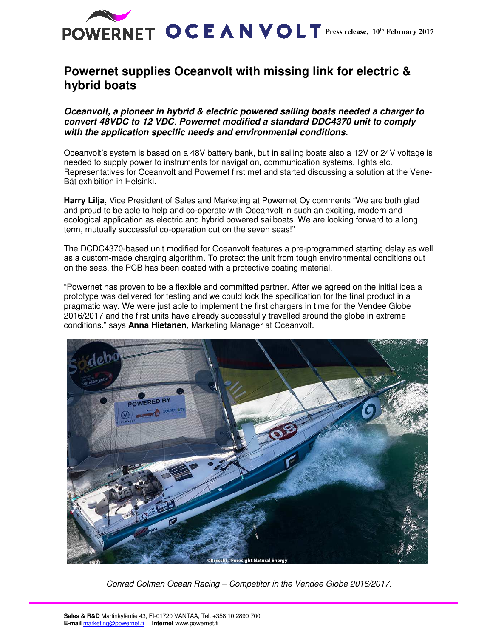

## **Powernet supplies Oceanvolt with missing link for electric & hybrid boats**

**Oceanvolt, a pioneer in hybrid & electric powered sailing boats needed a charger to convert 48VDC to 12 VDC**. **Powernet modified a standard DDC4370 unit to comply with the application specific needs and environmental conditions.** 

Oceanvolt's system is based on a 48V battery bank, but in sailing boats also a 12V or 24V voltage is needed to supply power to instruments for navigation, communication systems, lights etc. Representatives for Oceanvolt and Powernet first met and started discussing a solution at the Vene-Båt exhibition in Helsinki.

**Harry Lilja**, Vice President of Sales and Marketing at Powernet Oy comments "We are both glad and proud to be able to help and co-operate with Oceanvolt in such an exciting, modern and ecological application as electric and hybrid powered sailboats. We are looking forward to a long term, mutually successful co-operation out on the seven seas!"

The DCDC4370-based unit modified for Oceanvolt features a pre-programmed starting delay as well as a custom-made charging algorithm. To protect the unit from tough environmental conditions out on the seas, the PCB has been coated with a protective coating material.

"Powernet has proven to be a flexible and committed partner. After we agreed on the initial idea a prototype was delivered for testing and we could lock the specification for the final product in a pragmatic way. We were just able to implement the first chargers in time for the Vendee Globe 2016/2017 and the first units have already successfully travelled around the globe in extreme conditions." says **Anna Hietanen**, Marketing Manager at Oceanvolt.



Conrad Colman Ocean Racing – Competitor in the Vendee Globe 2016/2017.